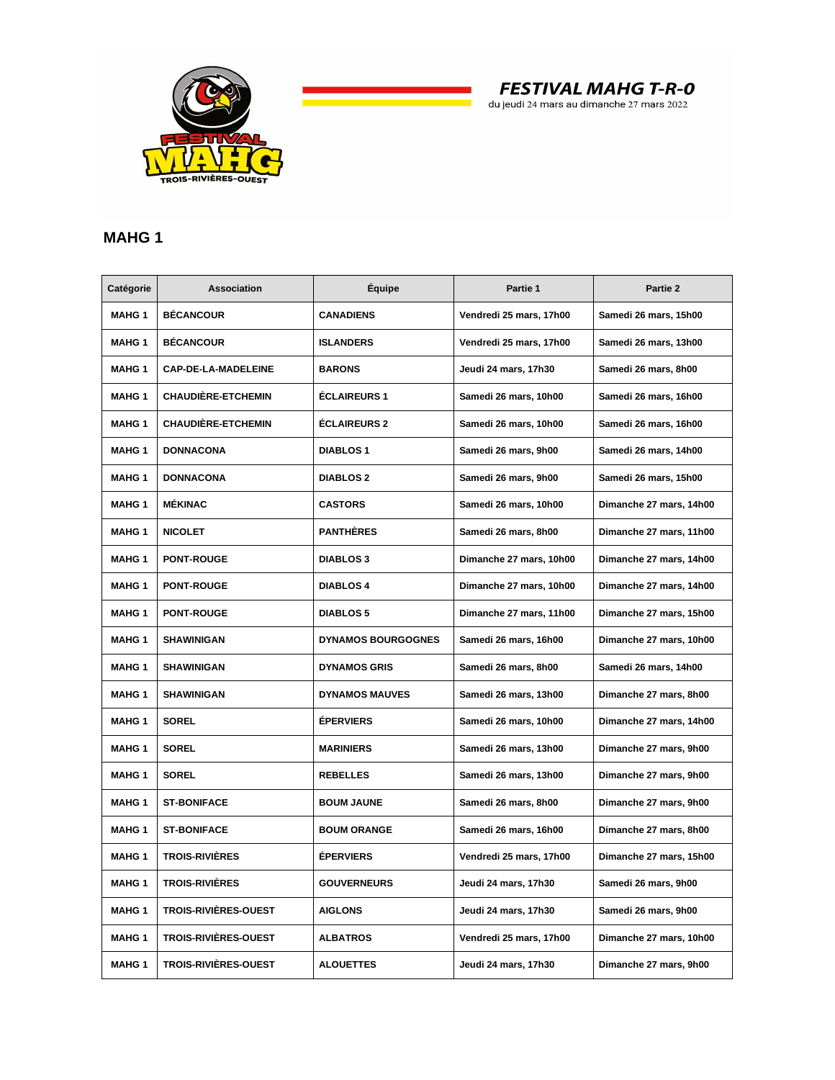

**FESTIVAL MAHG T-R-0** 

## du jeudi 24 mars au dimanche 27 mars 2022

## **MAHG 1**

| Catégorie     | <b>Association</b>          | Équipe                    | Partie 1                | Partie 2                |
|---------------|-----------------------------|---------------------------|-------------------------|-------------------------|
| <b>MAHG 1</b> | <b>BÉCANCOUR</b>            | <b>CANADIENS</b>          | Vendredi 25 mars, 17h00 | Samedi 26 mars, 15h00   |
| <b>MAHG 1</b> | <b>BÉCANCOUR</b>            | <b>ISLANDERS</b>          | Vendredi 25 mars, 17h00 | Samedi 26 mars, 13h00   |
| <b>MAHG 1</b> | CAP-DE-LA-MADELEINE         | <b>BARONS</b>             | Jeudi 24 mars, 17h30    | Samedi 26 mars, 8h00    |
| <b>MAHG 1</b> | <b>CHAUDIÈRE-ETCHEMIN</b>   | <b>ÉCLAIREURS 1</b>       | Samedi 26 mars, 10h00   | Samedi 26 mars, 16h00   |
| <b>MAHG 1</b> | <b>CHAUDIÈRE-ETCHEMIN</b>   | <b>ÉCLAIREURS 2</b>       | Samedi 26 mars, 10h00   | Samedi 26 mars, 16h00   |
| <b>MAHG 1</b> | <b>DONNACONA</b>            | <b>DIABLOS 1</b>          | Samedi 26 mars, 9h00    | Samedi 26 mars, 14h00   |
| <b>MAHG 1</b> | <b>DONNACONA</b>            | <b>DIABLOS 2</b>          | Samedi 26 mars, 9h00    | Samedi 26 mars, 15h00   |
| <b>MAHG 1</b> | <b>MÉKINAC</b>              | <b>CASTORS</b>            | Samedi 26 mars, 10h00   | Dimanche 27 mars, 14h00 |
| <b>MAHG 1</b> | <b>NICOLET</b>              | <b>PANTHÈRES</b>          | Samedi 26 mars, 8h00    | Dimanche 27 mars, 11h00 |
| <b>MAHG 1</b> | <b>PONT-ROUGE</b>           | <b>DIABLOS 3</b>          | Dimanche 27 mars, 10h00 | Dimanche 27 mars, 14h00 |
| <b>MAHG 1</b> | <b>PONT-ROUGE</b>           | <b>DIABLOS 4</b>          | Dimanche 27 mars, 10h00 | Dimanche 27 mars, 14h00 |
| <b>MAHG 1</b> | <b>PONT-ROUGE</b>           | <b>DIABLOS 5</b>          | Dimanche 27 mars, 11h00 | Dimanche 27 mars, 15h00 |
| <b>MAHG 1</b> | <b>SHAWINIGAN</b>           | <b>DYNAMOS BOURGOGNES</b> | Samedi 26 mars, 16h00   | Dimanche 27 mars, 10h00 |
| <b>MAHG 1</b> | <b>SHAWINIGAN</b>           | <b>DYNAMOS GRIS</b>       | Samedi 26 mars, 8h00    | Samedi 26 mars, 14h00   |
| <b>MAHG 1</b> | <b>SHAWINIGAN</b>           | <b>DYNAMOS MAUVES</b>     | Samedi 26 mars, 13h00   | Dimanche 27 mars, 8h00  |
| <b>MAHG 1</b> | <b>SOREL</b>                | <b>ÉPERVIERS</b>          | Samedi 26 mars, 10h00   | Dimanche 27 mars, 14h00 |
| <b>MAHG 1</b> | <b>SOREL</b>                | <b>MARINIERS</b>          | Samedi 26 mars, 13h00   | Dimanche 27 mars, 9h00  |
| <b>MAHG 1</b> | <b>SOREL</b>                | <b>REBELLES</b>           | Samedi 26 mars, 13h00   | Dimanche 27 mars, 9h00  |
| <b>MAHG 1</b> | <b>ST-BONIFACE</b>          | <b>BOUM JAUNE</b>         | Samedi 26 mars, 8h00    | Dimanche 27 mars, 9h00  |
| <b>MAHG 1</b> | <b>ST-BONIFACE</b>          | <b>BOUM ORANGE</b>        | Samedi 26 mars, 16h00   | Dimanche 27 mars, 8h00  |
| <b>MAHG 1</b> | <b>TROIS-RIVIÈRES</b>       | <b>ÉPERVIERS</b>          | Vendredi 25 mars, 17h00 | Dimanche 27 mars, 15h00 |
| <b>MAHG 1</b> | <b>TROIS-RIVIÈRES</b>       | <b>GOUVERNEURS</b>        | Jeudi 24 mars, 17h30    | Samedi 26 mars, 9h00    |
| <b>MAHG 1</b> | <b>TROIS-RIVIÈRES-OUEST</b> | <b>AIGLONS</b>            | Jeudi 24 mars, 17h30    | Samedi 26 mars, 9h00    |
| <b>MAHG 1</b> | TROIS-RIVIÈRES-OUEST        | <b>ALBATROS</b>           | Vendredi 25 mars, 17h00 | Dimanche 27 mars, 10h00 |
| <b>MAHG 1</b> | <b>TROIS-RIVIÈRES-OUEST</b> | <b>ALOUETTES</b>          | Jeudi 24 mars, 17h30    | Dimanche 27 mars, 9h00  |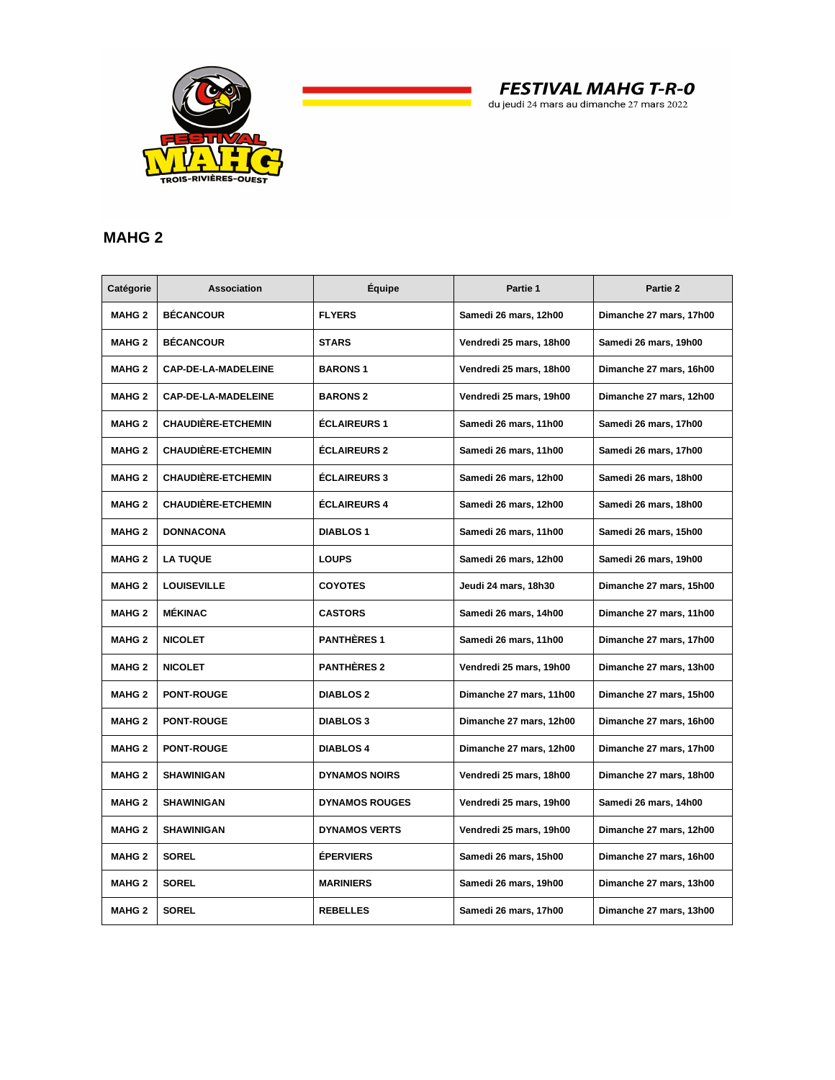

**FESTIVAL MAHG T-R-0** 

du jeudi 24 mars au dimanche 27 mars 2022

## **MAHG 2**

| Catégorie     | Association                | Équipe                | Partie 1                | Partie 2                |
|---------------|----------------------------|-----------------------|-------------------------|-------------------------|
| <b>MAHG 2</b> | <b>BÉCANCOUR</b>           | <b>FLYERS</b>         | Samedi 26 mars, 12h00   | Dimanche 27 mars, 17h00 |
| <b>MAHG 2</b> | <b>BÉCANCOUR</b>           | <b>STARS</b>          | Vendredi 25 mars, 18h00 | Samedi 26 mars, 19h00   |
| <b>MAHG 2</b> | <b>CAP-DE-LA-MADELEINE</b> | <b>BARONS1</b>        | Vendredi 25 mars, 18h00 | Dimanche 27 mars, 16h00 |
| <b>MAHG 2</b> | CAP-DE-LA-MADELEINE        | <b>BARONS 2</b>       | Vendredi 25 mars, 19h00 | Dimanche 27 mars, 12h00 |
| <b>MAHG 2</b> | <b>CHAUDIÈRE-ETCHEMIN</b>  | <b>ÉCLAIREURS 1</b>   | Samedi 26 mars, 11h00   | Samedi 26 mars, 17h00   |
| <b>MAHG 2</b> | <b>CHAUDIÈRE-ETCHEMIN</b>  | <b>ÉCLAIREURS 2</b>   | Samedi 26 mars, 11h00   | Samedi 26 mars, 17h00   |
| <b>MAHG 2</b> | <b>CHAUDIÈRE-ETCHEMIN</b>  | <b>ÉCLAIREURS 3</b>   | Samedi 26 mars, 12h00   | Samedi 26 mars, 18h00   |
| <b>MAHG 2</b> | <b>CHAUDIÈRE-ETCHEMIN</b>  | <b>ÉCLAIREURS 4</b>   | Samedi 26 mars, 12h00   | Samedi 26 mars, 18h00   |
| <b>MAHG 2</b> | <b>DONNACONA</b>           | <b>DIABLOS 1</b>      | Samedi 26 mars, 11h00   | Samedi 26 mars, 15h00   |
| <b>MAHG 2</b> | <b>LA TUQUE</b>            | <b>LOUPS</b>          | Samedi 26 mars, 12h00   | Samedi 26 mars, 19h00   |
| <b>MAHG 2</b> | <b>LOUISEVILLE</b>         | <b>COYOTES</b>        | Jeudi 24 mars, 18h30    | Dimanche 27 mars, 15h00 |
| <b>MAHG 2</b> | <b>MÉKINAC</b>             | <b>CASTORS</b>        | Samedi 26 mars, 14h00   | Dimanche 27 mars, 11h00 |
| <b>MAHG 2</b> | <b>NICOLET</b>             | <b>PANTHÈRES 1</b>    | Samedi 26 mars, 11h00   | Dimanche 27 mars, 17h00 |
| <b>MAHG 2</b> | <b>NICOLET</b>             | <b>PANTHÈRES 2</b>    | Vendredi 25 mars, 19h00 | Dimanche 27 mars, 13h00 |
| <b>MAHG 2</b> | <b>PONT-ROUGE</b>          | <b>DIABLOS 2</b>      | Dimanche 27 mars, 11h00 | Dimanche 27 mars, 15h00 |
| <b>MAHG 2</b> | <b>PONT-ROUGE</b>          | <b>DIABLOS 3</b>      | Dimanche 27 mars, 12h00 | Dimanche 27 mars, 16h00 |
| <b>MAHG 2</b> | <b>PONT-ROUGE</b>          | <b>DIABLOS 4</b>      | Dimanche 27 mars, 12h00 | Dimanche 27 mars, 17h00 |
| <b>MAHG 2</b> | <b>SHAWINIGAN</b>          | <b>DYNAMOS NOIRS</b>  | Vendredi 25 mars, 18h00 | Dimanche 27 mars, 18h00 |
| <b>MAHG 2</b> | <b>SHAWINIGAN</b>          | <b>DYNAMOS ROUGES</b> | Vendredi 25 mars, 19h00 | Samedi 26 mars, 14h00   |
| <b>MAHG 2</b> | <b>SHAWINIGAN</b>          | <b>DYNAMOS VERTS</b>  | Vendredi 25 mars, 19h00 | Dimanche 27 mars, 12h00 |
| <b>MAHG 2</b> | <b>SOREL</b>               | <b>ÉPERVIERS</b>      | Samedi 26 mars, 15h00   | Dimanche 27 mars, 16h00 |
| <b>MAHG 2</b> | <b>SOREL</b>               | <b>MARINIERS</b>      | Samedi 26 mars, 19h00   | Dimanche 27 mars, 13h00 |
| <b>MAHG 2</b> | <b>SOREL</b>               | <b>REBELLES</b>       | Samedi 26 mars, 17h00   | Dimanche 27 mars, 13h00 |